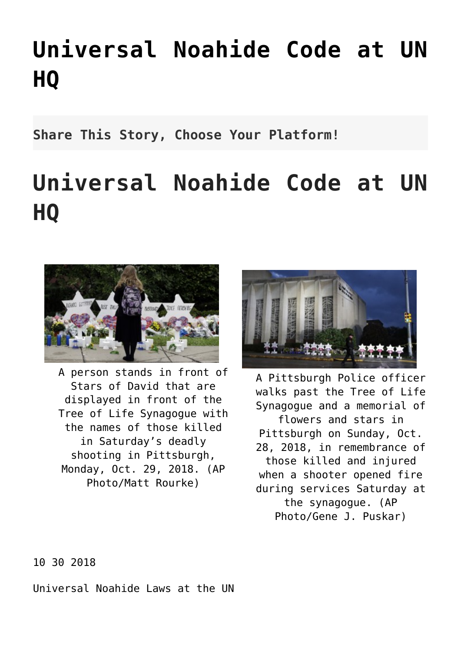## **[Universal Noahide Code at UN](http://noahide.org/universal-noahide-code-at-un-hq/) [HQ](http://noahide.org/universal-noahide-code-at-un-hq/)**

**Share This Story, Choose Your Platform!**

## **Universal Noahide Code at UN HQ**



A person stands in front of Stars of David that are displayed in front of the Tree of Life Synagogue with the names of those killed in Saturday's deadly shooting in Pittsburgh, Monday, Oct. 29, 2018. (AP Photo/Matt Rourke)



A Pittsburgh Police officer walks past the Tree of Life Synagogue and a memorial of flowers and stars in Pittsburgh on Sunday, Oct. 28, 2018, in remembrance of those killed and injured when a shooter opened fire during services Saturday at the synagogue. (AP Photo/Gene J. Puskar)

## 10 30 2018

Universal Noahide Laws at the UN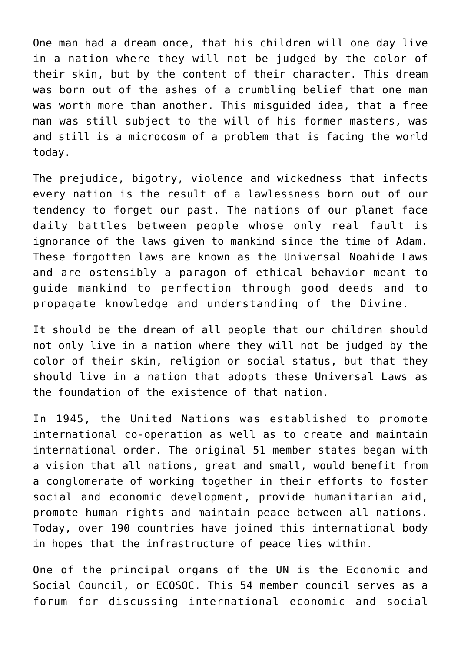One man had a dream once, that his children will one day live in a nation where they will not be judged by the color of their skin, but by the content of their character. This dream was born out of the ashes of a crumbling belief that one man was worth more than another. This misguided idea, that a free man was still subject to the will of his former masters, was and still is a microcosm of a problem that is facing the world today.

The prejudice, bigotry, violence and wickedness that infects every nation is the result of a lawlessness born out of our tendency to forget our past. The nations of our planet face daily battles between people whose only real fault is ignorance of the laws given to mankind since the time of Adam. These forgotten laws are known as the Universal Noahide Laws and are ostensibly a paragon of ethical behavior meant to guide mankind to perfection through good deeds and to propagate knowledge and understanding of the Divine.

It should be the dream of all people that our children should not only live in a nation where they will not be judged by the color of their skin, religion or social status, but that they should live in a nation that adopts these Universal Laws as the foundation of the existence of that nation.

In 1945, the United Nations was established to promote international co-operation as well as to create and maintain international order. The original 51 member states began with a vision that all nations, great and small, would benefit from a conglomerate of working together in their efforts to foster social and economic development, provide humanitarian aid, promote human rights and maintain peace between all nations. Today, over 190 countries have joined this international body in hopes that the infrastructure of peace lies within.

One of the principal organs of the UN is the Economic and Social Council, or ECOSOC. This 54 member council serves as a forum for discussing international economic and social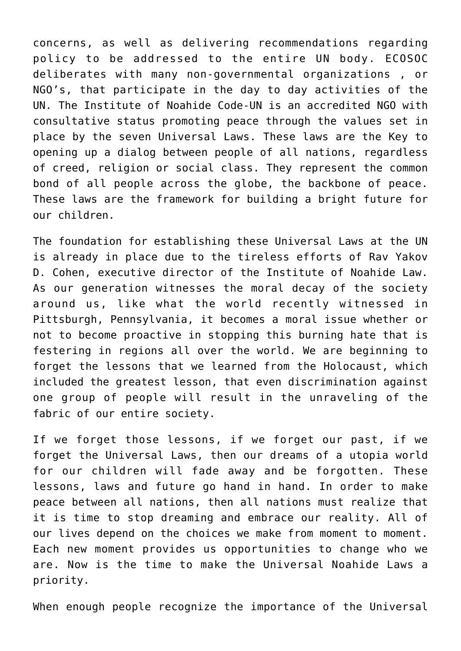concerns, as well as delivering recommendations regarding policy to be addressed to the entire UN body. ECOSOC deliberates with many non-governmental organizations , or NGO's, that participate in the day to day activities of the UN. The Institute of Noahide Code-UN is an accredited NGO with consultative status promoting peace through the values set in place by the seven Universal Laws. These laws are the Key to opening up a dialog between people of all nations, regardless of creed, religion or social class. They represent the common bond of all people across the globe, the backbone of peace. These laws are the framework for building a bright future for our children.

The foundation for establishing these Universal Laws at the UN is already in place due to the tireless efforts of Rav Yakov D. Cohen, executive director of the Institute of Noahide Law. As our generation witnesses the moral decay of the society around us, like what the world recently witnessed in Pittsburgh, Pennsylvania, it becomes a moral issue whether or not to become proactive in stopping this burning hate that is festering in regions all over the world. We are beginning to forget the lessons that we learned from the Holocaust, which included the greatest lesson, that even discrimination against one group of people will result in the unraveling of the fabric of our entire society.

If we forget those lessons, if we forget our past, if we forget the Universal Laws, then our dreams of a utopia world for our children will fade away and be forgotten. These lessons, laws and future go hand in hand. In order to make peace between all nations, then all nations must realize that it is time to stop dreaming and embrace our reality. All of our lives depend on the choices we make from moment to moment. Each new moment provides us opportunities to change who we are. Now is the time to make the Universal Noahide Laws a priority.

When enough people recognize the importance of the Universal